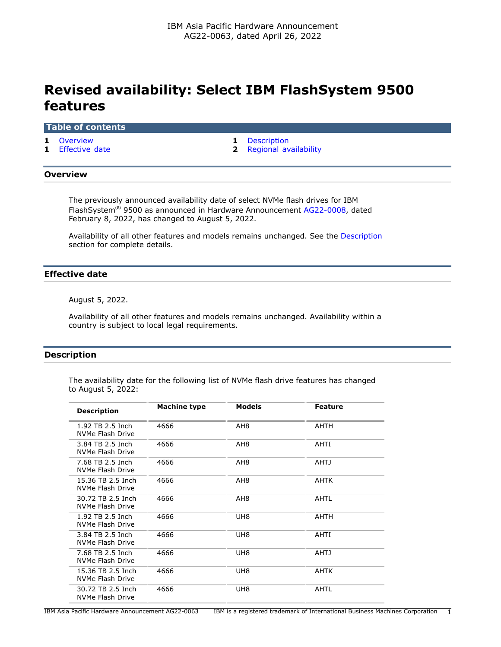# **Revised availability: Select IBM FlashSystem 9500 features**

#### **Table of contents**

- 
- 
- **1** [Overview](#page-0-0) **1** [Description](#page-0-1) **1** [Effective date](#page-0-2) **2** [Regional availability](#page-1-0)

## <span id="page-0-0"></span>**Overview**

The previously announced availability date of select NVMe flash drives for IBM FlashSystem<sup>(R)</sup> 9500 as announced in Hardware Announcement  $AG22-0008$ , dated February 8, 2022, has changed to August 5, 2022.

Availability of all other features and models remains unchanged. See the [Description](#page-0-1) section for complete details.

# <span id="page-0-2"></span>**Effective date**

August 5, 2022.

Availability of all other features and models remains unchanged. Availability within a country is subject to local legal requirements.

# <span id="page-0-1"></span>**Description**

The availability date for the following list of NVMe flash drive features has changed to August 5, 2022:

| <b>Description</b>                    | Machine type | <b>Models</b>   | <b>Feature</b> |
|---------------------------------------|--------------|-----------------|----------------|
| 1.92 TB 2.5 Inch<br>NVMe Flash Drive  | 4666         | AH8             | AHTH           |
| 3.84 TB 2.5 Inch<br>NVMe Flash Drive  | 4666         | AH <sub>8</sub> | AHTI           |
| 7.68 TB 2.5 Inch<br>NVMe Flash Drive  | 4666         | AH <sub>8</sub> | <b>AHTJ</b>    |
| 15.36 TB 2.5 Inch<br>NVMe Flash Drive | 4666         | AH8             | AHTK           |
| 30.72 TB 2.5 Inch<br>NVMe Flash Drive | 4666         | AH <sub>8</sub> | <b>AHTL</b>    |
| 1.92 TB 2.5 Inch<br>NVMe Flash Drive  | 4666         | UH <sub>8</sub> | <b>AHTH</b>    |
| 3.84 TB 2.5 Inch<br>NVMe Flash Drive  | 4666         | UH <sub>8</sub> | AHTI           |
| 7.68 TB 2.5 Inch<br>NVMe Flash Drive  | 4666         | UH <sub>8</sub> | <b>AHTJ</b>    |
| 15.36 TB 2.5 Inch<br>NVMe Flash Drive | 4666         | UH8             | AHTK           |
| 30.72 TB 2.5 Inch<br>NVMe Flash Drive | 4666         | UH8             | AHTL           |

IBM Asia Pacific Hardware Announcement AG22-0063 IBM is a registered trademark of International Business Machines Corporation 1